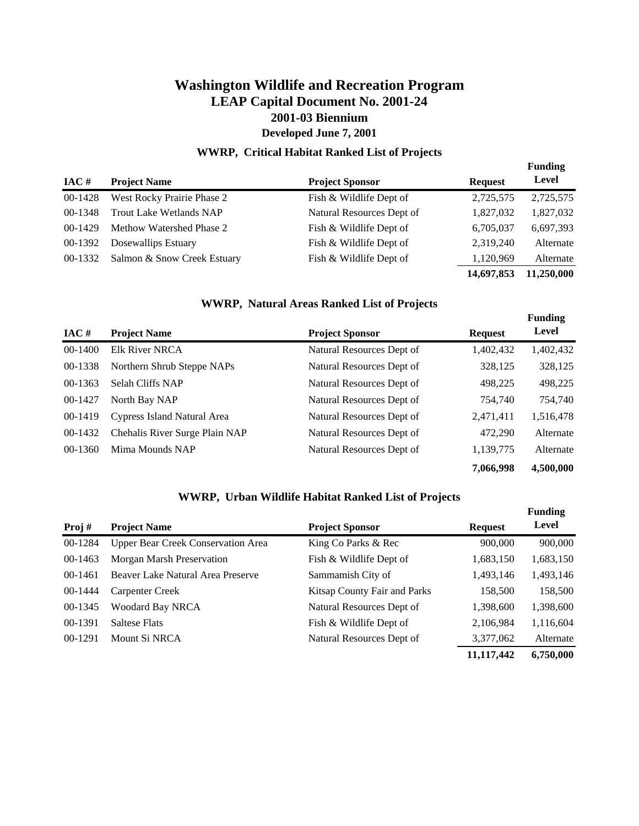#### **WWRP, Critical Habitat Ranked List of Projects**

**Funding** 

|           |                                |                           |                | - --------- |
|-----------|--------------------------------|---------------------------|----------------|-------------|
| $IAC$ #   | <b>Project Name</b>            | <b>Project Sponsor</b>    | <b>Request</b> | Level       |
| 00-1428   | West Rocky Prairie Phase 2     | Fish & Wildlife Dept of   | 2,725,575      | 2,725,575   |
| 00-1348   | <b>Trout Lake Wetlands NAP</b> | Natural Resources Dept of | 1,827,032      | 1,827,032   |
| $00-1429$ | Methow Watershed Phase 2       | Fish & Wildlife Dept of   | 6,705,037      | 6,697,393   |
| 00-1392   | Dosewallips Estuary            | Fish & Wildlife Dept of   | 2,319,240      | Alternate   |
| 00-1332   | Salmon & Snow Creek Estuary    | Fish & Wildlife Dept of   | 1,120,969      | Alternate   |
|           |                                |                           | 14,697,853     | 11,250,000  |

#### **WWRP, Natural Areas Ranked List of Projects**

|              |                                |                           |                | <b>Funding</b> |
|--------------|--------------------------------|---------------------------|----------------|----------------|
| $\bf{IAC}$ # | <b>Project Name</b>            | <b>Project Sponsor</b>    | <b>Request</b> | Level          |
| 00-1400      | <b>Elk River NRCA</b>          | Natural Resources Dept of | 1,402,432      | 1,402,432      |
| 00-1338      | Northern Shrub Steppe NAPs     | Natural Resources Dept of | 328,125        | 328,125        |
| 00-1363      | <b>Selah Cliffs NAP</b>        | Natural Resources Dept of | 498,225        | 498,225        |
| 00-1427      | North Bay NAP                  | Natural Resources Dept of | 754,740        | 754,740        |
| 00-1419      | Cypress Island Natural Area    | Natural Resources Dept of | 2,471,411      | 1,516,478      |
| 00-1432      | Chehalis River Surge Plain NAP | Natural Resources Dept of | 472,290        | Alternate      |
| 00-1360      | Mima Mounds NAP                | Natural Resources Dept of | 1,139,775      | Alternate      |
|              |                                |                           | 7,066,998      | 4,500,000      |

#### **WWRP, Urban Wildlife Habitat Ranked List of Projects**

|           |                                           |                              |                | <b>Funding</b> |
|-----------|-------------------------------------------|------------------------------|----------------|----------------|
| Proj#     | <b>Project Name</b>                       | <b>Project Sponsor</b>       | <b>Request</b> | Level          |
| 00-1284   | <b>Upper Bear Creek Conservation Area</b> | King Co Parks & Rec          | 900,000        | 900,000        |
| 00-1463   | Morgan Marsh Preservation                 | Fish & Wildlife Dept of      | 1,683,150      | 1,683,150      |
| $00-1461$ | Beaver Lake Natural Area Preserve         | Sammamish City of            | 1,493,146      | 1,493,146      |
| 00-1444   | Carpenter Creek                           | Kitsap County Fair and Parks | 158,500        | 158,500        |
| 00-1345   | <b>Woodard Bay NRCA</b>                   | Natural Resources Dept of    | 1,398,600      | 1,398,600      |
| 00-1391   | <b>Saltese Flats</b>                      | Fish & Wildlife Dept of      | 2,106,984      | 1,116,604      |
| 00-1291   | Mount Si NRCA                             | Natural Resources Dept of    | 3,377,062      | Alternate      |
|           |                                           |                              | 11,117,442     | 6,750,000      |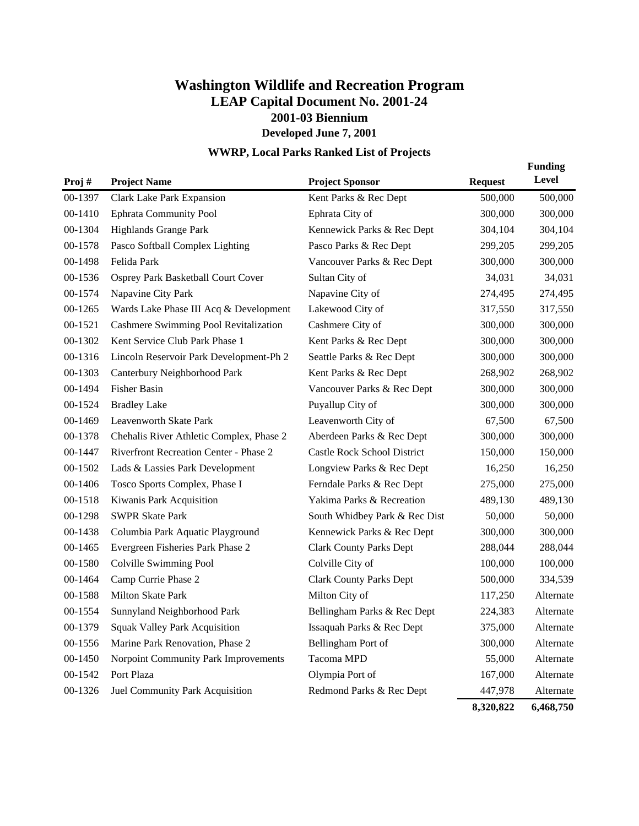## **WWRP, Local Parks Ranked List of Projects**

| Proj $#$ | <b>Project Name</b>                      | <b>Project Sponsor</b>         | <b>Request</b> | <b>Funding</b><br><b>Level</b> |
|----------|------------------------------------------|--------------------------------|----------------|--------------------------------|
| 00-1397  | Clark Lake Park Expansion                | Kent Parks & Rec Dept          | 500,000        | 500,000                        |
| 00-1410  | <b>Ephrata Community Pool</b>            | Ephrata City of                | 300,000        | 300,000                        |
| 00-1304  | Highlands Grange Park                    | Kennewick Parks & Rec Dept     | 304,104        | 304,104                        |
| 00-1578  | Pasco Softball Complex Lighting          | Pasco Parks & Rec Dept         | 299,205        | 299,205                        |
| 00-1498  | Felida Park                              | Vancouver Parks & Rec Dept     | 300,000        | 300,000                        |
| 00-1536  | Osprey Park Basketball Court Cover       | Sultan City of                 | 34,031         | 34,031                         |
| 00-1574  | Napavine City Park                       | Napavine City of               | 274,495        | 274,495                        |
| 00-1265  | Wards Lake Phase III Acq & Development   | Lakewood City of               | 317,550        | 317,550                        |
| 00-1521  | Cashmere Swimming Pool Revitalization    | Cashmere City of               | 300,000        | 300,000                        |
| 00-1302  | Kent Service Club Park Phase 1           | Kent Parks & Rec Dept          | 300,000        | 300,000                        |
| 00-1316  | Lincoln Reservoir Park Development-Ph 2  | Seattle Parks & Rec Dept       | 300,000        | 300,000                        |
| 00-1303  | Canterbury Neighborhood Park             | Kent Parks & Rec Dept          | 268,902        | 268,902                        |
| 00-1494  | <b>Fisher Basin</b>                      | Vancouver Parks & Rec Dept     | 300,000        | 300,000                        |
| 00-1524  | <b>Bradley Lake</b>                      | Puyallup City of               | 300,000        | 300,000                        |
| 00-1469  | Leavenworth Skate Park                   | Leavenworth City of            | 67,500         | 67,500                         |
| 00-1378  | Chehalis River Athletic Complex, Phase 2 | Aberdeen Parks & Rec Dept      | 300,000        | 300,000                        |
| 00-1447  | Riverfront Recreation Center - Phase 2   | Castle Rock School District    | 150,000        | 150,000                        |
| 00-1502  | Lads & Lassies Park Development          | Longview Parks & Rec Dept      | 16,250         | 16,250                         |
| 00-1406  | Tosco Sports Complex, Phase I            | Ferndale Parks & Rec Dept      | 275,000        | 275,000                        |
| 00-1518  | Kiwanis Park Acquisition                 | Yakima Parks & Recreation      | 489,130        | 489,130                        |
| 00-1298  | <b>SWPR Skate Park</b>                   | South Whidbey Park & Rec Dist  | 50,000         | 50,000                         |
| 00-1438  | Columbia Park Aquatic Playground         | Kennewick Parks & Rec Dept     | 300,000        | 300,000                        |
| 00-1465  | Evergreen Fisheries Park Phase 2         | <b>Clark County Parks Dept</b> | 288,044        | 288,044                        |
| 00-1580  | Colville Swimming Pool                   | Colville City of               | 100,000        | 100,000                        |
| 00-1464  | Camp Currie Phase 2                      | <b>Clark County Parks Dept</b> | 500,000        | 334,539                        |
| 00-1588  | Milton Skate Park                        | Milton City of                 | 117,250        | Alternate                      |
| 00-1554  | Sunnyland Neighborhood Park              | Bellingham Parks & Rec Dept    | 224,383        | Alternate                      |
| 00-1379  | <b>Squak Valley Park Acquisition</b>     | Issaquah Parks & Rec Dept      | 375,000        | Alternate                      |
| 00-1556  | Marine Park Renovation, Phase 2          | Bellingham Port of             | 300,000        | Alternate                      |
| 00-1450  | Norpoint Community Park Improvements     | Tacoma MPD                     | 55,000         | Alternate                      |
| 00-1542  | Port Plaza                               | Olympia Port of                | 167,000        | Alternate                      |
| 00-1326  | Juel Community Park Acquisition          | Redmond Parks & Rec Dept       | 447,978        | Alternate                      |
|          |                                          |                                | 8,320,822      | 6,468,750                      |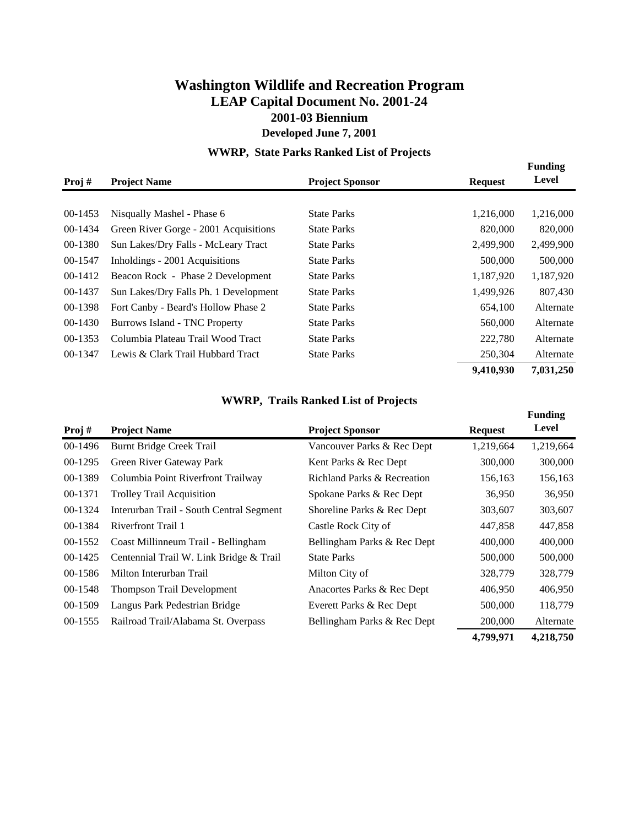## **WWRP, State Parks Ranked List of Projects**

| Proj#     | <b>Project Name</b>                   | <b>Project Sponsor</b> | <b>Request</b> | <b>Funding</b><br>Level |
|-----------|---------------------------------------|------------------------|----------------|-------------------------|
|           |                                       |                        |                |                         |
| $00-1453$ | Nisqually Mashel - Phase 6            | <b>State Parks</b>     | 1,216,000      | 1,216,000               |
| 00-1434   | Green River Gorge - 2001 Acquisitions | <b>State Parks</b>     | 820,000        | 820,000                 |
| 00-1380   | Sun Lakes/Dry Falls - McLeary Tract   | <b>State Parks</b>     | 2,499,900      | 2,499,900               |
| 00-1547   | Inholdings - 2001 Acquisitions        | <b>State Parks</b>     | 500,000        | 500,000                 |
| 00-1412   | Beacon Rock - Phase 2 Development     | <b>State Parks</b>     | 1,187,920      | 1,187,920               |
| 00-1437   | Sun Lakes/Dry Falls Ph. 1 Development | <b>State Parks</b>     | 1,499,926      | 807,430                 |
| 00-1398   | Fort Canby - Beard's Hollow Phase 2   | <b>State Parks</b>     | 654,100        | Alternate               |
| $00-1430$ | Burrows Island - TNC Property         | <b>State Parks</b>     | 560,000        | Alternate               |
| 00-1353   | Columbia Plateau Trail Wood Tract     | <b>State Parks</b>     | 222,780        | Alternate               |
| 00-1347   | Lewis & Clark Trail Hubbard Tract     | <b>State Parks</b>     | 250,304        | Alternate               |
|           |                                       |                        | 9,410,930      | 7,031,250               |

#### **WWRP, Trails Ranked List of Projects**

| Proj#   | <b>Project Name</b>                      | <b>Project Sponsor</b>      | <b>Request</b> | <b>Funding</b><br>Level |
|---------|------------------------------------------|-----------------------------|----------------|-------------------------|
| 00-1496 | Burnt Bridge Creek Trail                 | Vancouver Parks & Rec Dept  | 1,219,664      | 1,219,664               |
| 00-1295 | Green River Gateway Park                 | Kent Parks & Rec Dept       | 300,000        | 300,000                 |
| 00-1389 | Columbia Point Riverfront Trailway       | Richland Parks & Recreation | 156,163        | 156,163                 |
| 00-1371 | <b>Trolley Trail Acquisition</b>         | Spokane Parks & Rec Dept    | 36,950         | 36,950                  |
| 00-1324 | Interurban Trail - South Central Segment | Shoreline Parks & Rec Dept  | 303,607        | 303,607                 |
| 00-1384 | Riverfront Trail 1                       | Castle Rock City of         | 447,858        | 447,858                 |
| 00-1552 | Coast Millinneum Trail - Bellingham      | Bellingham Parks & Rec Dept | 400,000        | 400,000                 |
| 00-1425 | Centennial Trail W. Link Bridge & Trail  | <b>State Parks</b>          | 500,000        | 500,000                 |
| 00-1586 | Milton Interurban Trail                  | Milton City of              | 328,779        | 328,779                 |
| 00-1548 | <b>Thompson Trail Development</b>        | Anacortes Parks & Rec Dept  | 406,950        | 406,950                 |
| 00-1509 | Langus Park Pedestrian Bridge            | Everett Parks & Rec Dept    | 500,000        | 118,779                 |
| 00-1555 | Railroad Trail/Alabama St. Overpass      | Bellingham Parks & Rec Dept | 200,000        | Alternate               |
|         |                                          |                             | 4,799,971      | 4,218,750               |